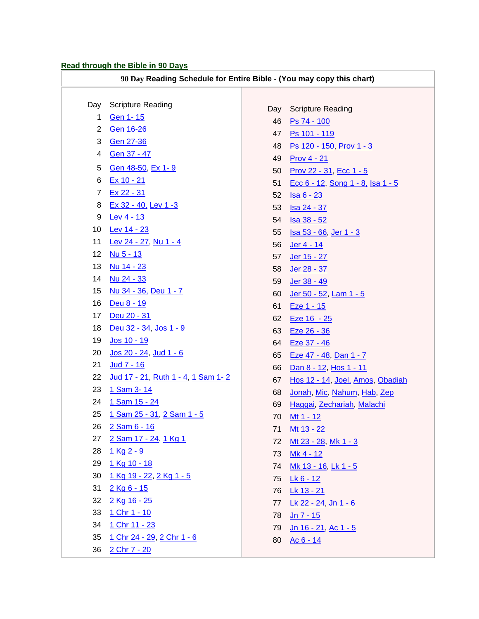## **Read through the Bible in 90 Days**

| 90 Day Reading Schedule for Entire Bible - (You may copy this chart) |                                            |     |                                          |
|----------------------------------------------------------------------|--------------------------------------------|-----|------------------------------------------|
|                                                                      |                                            |     |                                          |
| Day                                                                  | <b>Scripture Reading</b>                   | Day | <b>Scripture Reading</b>                 |
| 1                                                                    | <b>Gen 1-15</b>                            | 46  | Ps 74 - 100                              |
| $\overline{c}$                                                       | <b>Gen 16-26</b>                           | 47  | Ps 101 - 119                             |
| 3                                                                    | Gen 27-36                                  | 48  | Ps 120 - 150, Prov 1 - 3                 |
| 4                                                                    | Gen 37 - 47                                | 49  | <b>Prov 4 - 21</b>                       |
| 5                                                                    | Gen 48-50, Ex 1-9                          | 50  | <u>Prov 22 - 31, Ecc 1 - 5</u>           |
| 6                                                                    | Ex 10 - 21                                 | 51  | <u>Ecc 6 - 12, Song 1 - 8, Isa 1 - 5</u> |
| $\overline{7}$                                                       | Ex 22 - 31                                 | 52  | $Isa 6 - 23$                             |
| 8                                                                    | Ex 32 - 40, Lev 1 -3                       | 53  | <u>Isa 24 - 37</u>                       |
| 9                                                                    | Lev 4 - 13                                 | 54  | <u>Isa 38 - 52</u>                       |
| 10                                                                   | Lev 14 - 23                                | 55  | <u>Isa 53 - 66, Jer 1 - 3</u>            |
| 11                                                                   | Lev 24 - 27, Nu 1 - 4                      | 56  | Jer 4 - 14                               |
| 12                                                                   | Nu 5 - 13                                  | 57  | Jer 15 - 27                              |
| 13                                                                   | Nu 14 - 23                                 | 58  | Jer 28 - 37                              |
| 14                                                                   | Nu 24 - 33                                 | 59  | Jer 38 - 49                              |
| 15                                                                   | <u>Nu 34 - 36, Deu 1 - 7</u>               | 60  | Jer 50 - 52, Lam 1 - 5                   |
| 16                                                                   | Deu 8 - 19                                 | 61  | Eze 1 - 15                               |
| 17                                                                   | Deu 20 - 31                                | 62  | Eze 16 - 25                              |
| 18                                                                   | Deu 32 - 34, Jos 1 - 9                     | 63  | Eze 26 - 36                              |
| 19                                                                   | <u>Jos 10 - 19</u>                         | 64  | Eze 37 - 46                              |
| 20                                                                   | <u>Jos 20 - 24, Jud 1 - 6</u>              | 65  | Eze 47 - 48, Dan 1 - 7                   |
| 21                                                                   | <u>Jud 7 - 16</u>                          | 66  | Dan 8 - 12, Hos 1 - 11                   |
| 22                                                                   | <u>Jud 17 - 21, Ruth 1 - 4, 1 Sam 1- 2</u> | 67  | Hos 12 - 14, Joel, Amos, Obadiah         |
| 23                                                                   | 1 Sam 3-14                                 | 68  | Jonah, Mic, Nahum, Hab, Zep              |
| 24                                                                   | 1 Sam 15 - 24                              | 69  | Haggai, Zechariah, Malachi               |
| 25                                                                   | 1 Sam 25 - 31, 2 Sam 1 - 5                 | 70  | Mt 1 - 12                                |
| 26                                                                   | 2 Sam 6 - 16                               | 71  | Mt 13 - 22                               |
| 27                                                                   | 2 Sam 17 - 24, 1 Kg 1                      | 72  | Mt 23 - 28, Mk 1 - 3                     |
| 28                                                                   | 1 Kg 2 - 9                                 | 73  | Mk 4 - 12                                |
| 29                                                                   | 1 Kg 10 - 18                               | 74  | Mk 13 - 16, Lk 1 - 5                     |
| 30                                                                   | 1 Kg 19 - 22, 2 Kg 1 - 5                   | 75  | $Lk 6 - 12$                              |
| 31                                                                   | 2 Kg 6 - 15                                | 76  | Lk 13 - 21                               |
| 32                                                                   | 2 Kg 16 - 25                               | 77  | Lk 22 - 24, Jn 1 - 6                     |
| 33                                                                   | 1 Chr 1 - 10                               | 78  | $Jn 7 - 15$                              |
| 34                                                                   | 1 Chr 11 - 23                              | 79  | Jn 16 - 21, Ac 1 - 5                     |
| 35                                                                   | 1 Chr 24 - 29, 2 Chr 1 - 6                 | 80  | $AC 6 - 14$                              |
| 36                                                                   | 2 Chr 7 - 20                               |     |                                          |